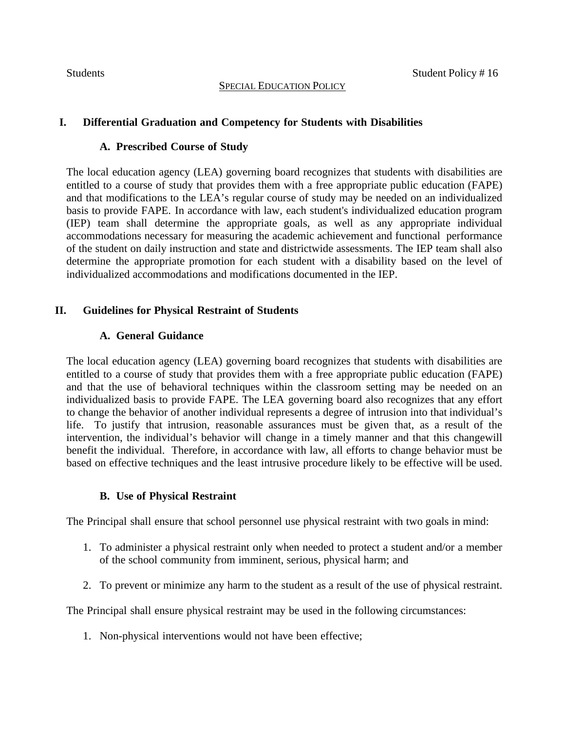# **I. Differential Graduation and Competency for Students with Disabilities**

#### **A. Prescribed Course of Study**

The local education agency (LEA) governing board recognizes that students with disabilities are entitled to a course of study that provides them with a free appropriate public education (FAPE) and that modifications to the LEA's regular course of study may be needed on an individualized basis to provide FAPE. In accordance with law, each student's individualized education program (IEP) team shall determine the appropriate goals, as well as any appropriate individual accommodations necessary for measuring the academic achievement and functional performance of the student on daily instruction and state and districtwide assessments. The IEP team shall also determine the appropriate promotion for each student with a disability based on the level of individualized accommodations and modifications documented in the IEP.

# **II. Guidelines for Physical Restraint of Students**

# **A. General Guidance**

The local education agency (LEA) governing board recognizes that students with disabilities are entitled to a course of study that provides them with a free appropriate public education (FAPE) and that the use of behavioral techniques within the classroom setting may be needed on an individualized basis to provide FAPE. The LEA governing board also recognizes that any effort to change the behavior of another individual represents a degree of intrusion into that individual's life. To justify that intrusion, reasonable assurances must be given that, as a result of the intervention, the individual's behavior will change in a timely manner and that this changewill benefit the individual. Therefore, in accordance with law, all efforts to change behavior must be based on effective techniques and the least intrusive procedure likely to be effective will be used.

# **B. Use of Physical Restraint**

The Principal shall ensure that school personnel use physical restraint with two goals in mind:

- 1. To administer a physical restraint only when needed to protect a student and/or a member of the school community from imminent, serious, physical harm; and
- 2. To prevent or minimize any harm to the student as a result of the use of physical restraint.

The Principal shall ensure physical restraint may be used in the following circumstances:

1. Non-physical interventions would not have been effective;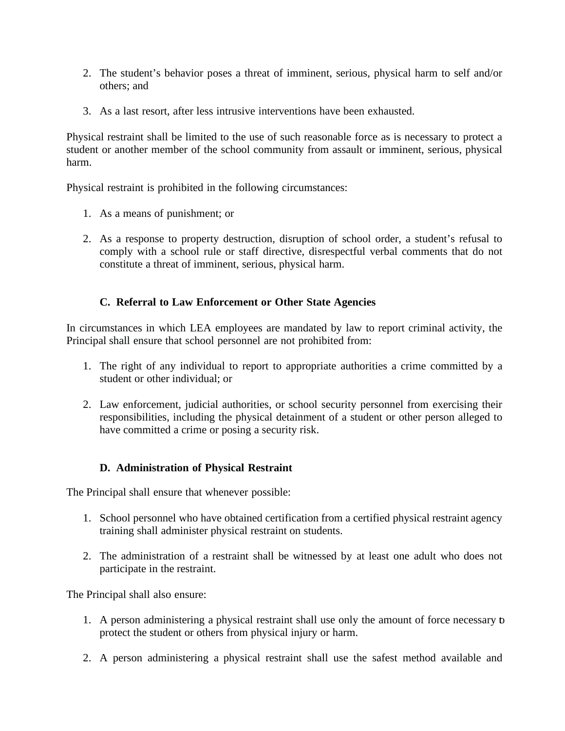- 2. The student's behavior poses a threat of imminent, serious, physical harm to self and/or others; and
- 3. As a last resort, after less intrusive interventions have been exhausted.

Physical restraint shall be limited to the use of such reasonable force as is necessary to protect a student or another member of the school community from assault or imminent, serious, physical harm.

Physical restraint is prohibited in the following circumstances:

- 1. As a means of punishment; or
- 2. As a response to property destruction, disruption of school order, a student's refusal to comply with a school rule or staff directive, disrespectful verbal comments that do not constitute a threat of imminent, serious, physical harm.

# **C. Referral to Law Enforcement or Other State Agencies**

In circumstances in which LEA employees are mandated by law to report criminal activity, the Principal shall ensure that school personnel are not prohibited from:

- 1. The right of any individual to report to appropriate authorities a crime committed by a student or other individual; or
- 2. Law enforcement, judicial authorities, or school security personnel from exercising their responsibilities, including the physical detainment of a student or other person alleged to have committed a crime or posing a security risk.

# **D. Administration of Physical Restraint**

The Principal shall ensure that whenever possible:

- 1. School personnel who have obtained certification from a certified physical restraint agency training shall administer physical restraint on students.
- 2. The administration of a restraint shall be witnessed by at least one adult who does not participate in the restraint.

The Principal shall also ensure:

- 1. A person administering a physical restraint shall use only the amount of force necessary to protect the student or others from physical injury or harm.
- 2. A person administering a physical restraint shall use the safest method available and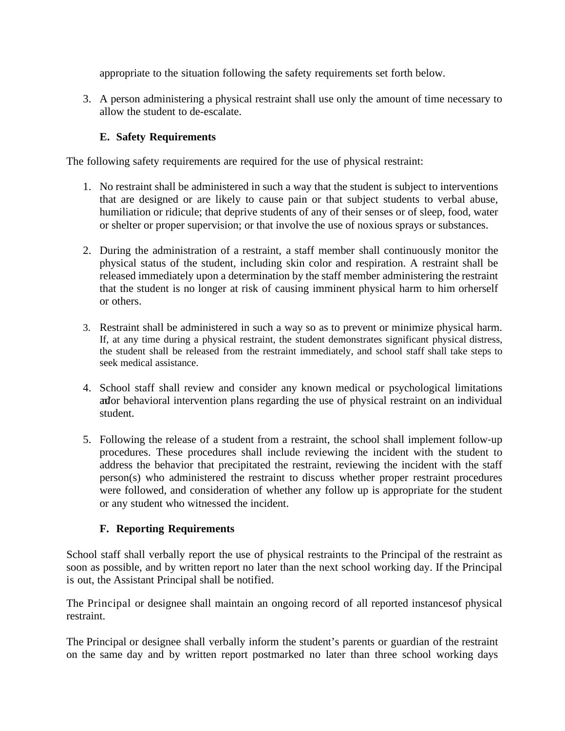appropriate to the situation following the safety requirements set forth below.

3. A person administering a physical restraint shall use only the amount of time necessary to allow the student to de-escalate.

# **E. Safety Requirements**

The following safety requirements are required for the use of physical restraint:

- 1. No restraint shall be administered in such a way that the student is subject to interventions that are designed or are likely to cause pain or that subject students to verbal abuse, humiliation or ridicule; that deprive students of any of their senses or of sleep, food, water or shelter or proper supervision; or that involve the use of noxious sprays or substances.
- 2. During the administration of a restraint, a staff member shall continuously monitor the physical status of the student, including skin color and respiration. A restraint shall be released immediately upon a determination by the staff member administering the restraint that the student is no longer at risk of causing imminent physical harm to him orherself or others.
- 3. Restraint shall be administered in such a way so as to prevent or minimize physical harm. If, at any time during a physical restraint, the student demonstrates significant physical distress, the student shall be released from the restraint immediately, and school staff shall take steps to seek medical assistance.
- 4. School staff shall review and consider any known medical or psychological limitations and or behavioral intervention plans regarding the use of physical restraint on an individual student.
- 5. Following the release of a student from a restraint, the school shall implement follow-up procedures. These procedures shall include reviewing the incident with the student to address the behavior that precipitated the restraint, reviewing the incident with the staff person(s) who administered the restraint to discuss whether proper restraint procedures were followed, and consideration of whether any follow up is appropriate for the student or any student who witnessed the incident.

# **F. Reporting Requirements**

School staff shall verbally report the use of physical restraints to the Principal of the restraint as soon as possible, and by written report no later than the next school working day. If the Principal is out, the Assistant Principal shall be notified.

The Principal or designee shall maintain an ongoing record of all reported instancesof physical restraint.

The Principal or designee shall verbally inform the student's parents or guardian of the restraint on the same day and by written report postmarked no later than three school working days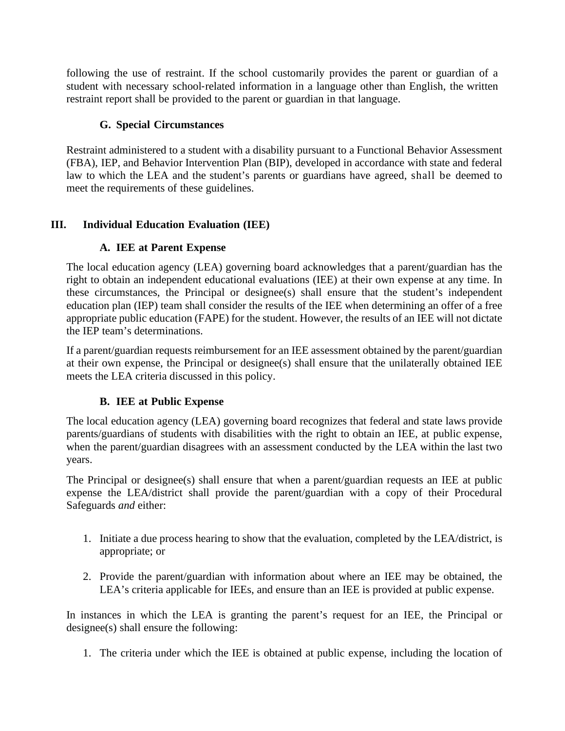following the use of restraint. If the school customarily provides the parent or guardian of a student with necessary school-related information in a language other than English, the written restraint report shall be provided to the parent or guardian in that language.

# **G. Special Circumstances**

Restraint administered to a student with a disability pursuant to a Functional Behavior Assessment (FBA), IEP, and Behavior Intervention Plan (BIP), developed in accordance with state and federal law to which the LEA and the student's parents or guardians have agreed, shall be deemed to meet the requirements of these guidelines.

# **III. Individual Education Evaluation (IEE)**

# **A. IEE at Parent Expense**

The local education agency (LEA) governing board acknowledges that a parent/guardian has the right to obtain an independent educational evaluations (IEE) at their own expense at any time. In these circumstances, the Principal or designee(s) shall ensure that the student's independent education plan (IEP) team shall consider the results of the IEE when determining an offer of a free appropriate public education (FAPE) for the student. However, the results of an IEE will not dictate the IEP team's determinations.

If a parent/guardian requests reimbursement for an IEE assessment obtained by the parent/guardian at their own expense, the Principal or designee(s) shall ensure that the unilaterally obtained IEE meets the LEA criteria discussed in this policy.

# **B. IEE at Public Expense**

The local education agency (LEA) governing board recognizes that federal and state laws provide parents/guardians of students with disabilities with the right to obtain an IEE, at public expense, when the parent/guardian disagrees with an assessment conducted by the LEA within the last two years.

The Principal or designee(s) shall ensure that when a parent/guardian requests an IEE at public expense the LEA/district shall provide the parent/guardian with a copy of their Procedural Safeguards *and* either:

- 1. Initiate a due process hearing to show that the evaluation, completed by the LEA/district, is appropriate; or
- 2. Provide the parent/guardian with information about where an IEE may be obtained, the LEA's criteria applicable for IEEs, and ensure than an IEE is provided at public expense.

In instances in which the LEA is granting the parent's request for an IEE, the Principal or designee(s) shall ensure the following:

1. The criteria under which the IEE is obtained at public expense, including the location of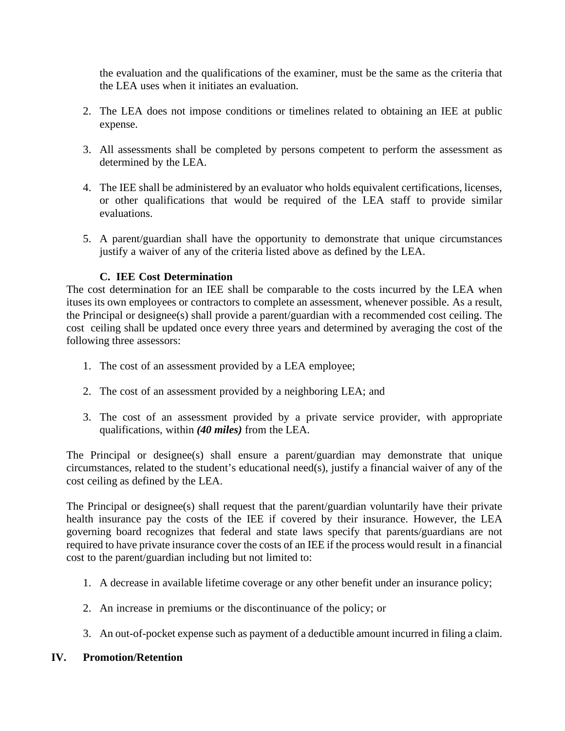the evaluation and the qualifications of the examiner, must be the same as the criteria that the LEA uses when it initiates an evaluation.

- 2. The LEA does not impose conditions or timelines related to obtaining an IEE at public expense.
- 3. All assessments shall be completed by persons competent to perform the assessment as determined by the LEA.
- 4. The IEE shall be administered by an evaluator who holds equivalent certifications, licenses, or other qualifications that would be required of the LEA staff to provide similar evaluations.
- 5. A parent/guardian shall have the opportunity to demonstrate that unique circumstances justify a waiver of any of the criteria listed above as defined by the LEA.

#### **C. IEE Cost Determination**

The cost determination for an IEE shall be comparable to the costs incurred by the LEA when ituses its own employees or contractors to complete an assessment, whenever possible. As a result, the Principal or designee(s) shall provide a parent/guardian with a recommended cost ceiling. The cost ceiling shall be updated once every three years and determined by averaging the cost of the following three assessors:

- 1. The cost of an assessment provided by a LEA employee;
- 2. The cost of an assessment provided by a neighboring LEA; and
- 3. The cost of an assessment provided by a private service provider, with appropriate qualifications, within *(40 miles)* from the LEA.

The Principal or designee(s) shall ensure a parent/guardian may demonstrate that unique circumstances, related to the student's educational need(s), justify a financial waiver of any of the cost ceiling as defined by the LEA.

The Principal or designee(s) shall request that the parent/guardian voluntarily have their private health insurance pay the costs of the IEE if covered by their insurance. However, the LEA governing board recognizes that federal and state laws specify that parents/guardians are not required to have private insurance cover the costs of an IEE if the process would result in a financial cost to the parent/guardian including but not limited to:

- 1. A decrease in available lifetime coverage or any other benefit under an insurance policy;
- 2. An increase in premiums or the discontinuance of the policy; or
- 3. An out-of-pocket expense such as payment of a deductible amount incurred in filing a claim.

#### **IV. Promotion/Retention**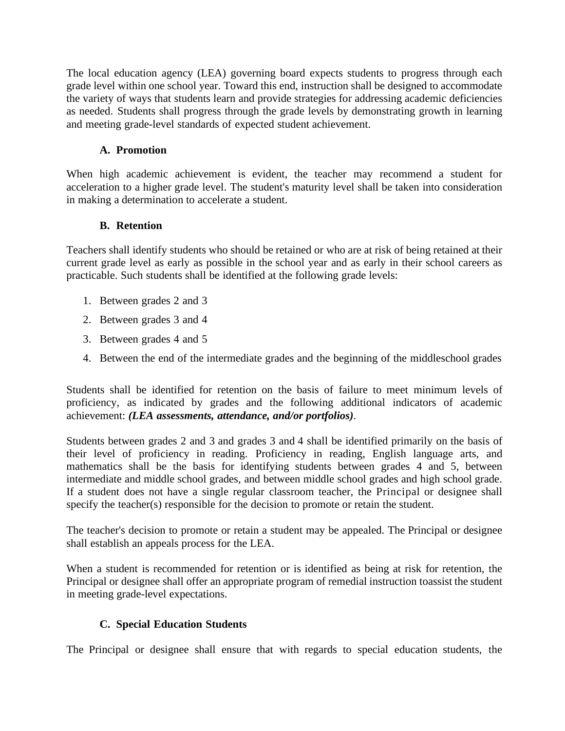The local education agency (LEA) governing board expects students to progress through each grade level within one school year. Toward this end, instruction shall be designed to accommodate the variety of ways that students learn and provide strategies for addressing academic deficiencies as needed. Students shall progress through the grade levels by demonstrating growth in learning and meeting grade-level standards of expected student achievement.

# **A. Promotion**

When high academic achievement is evident, the teacher may recommend a student for acceleration to a higher grade level. The student's maturity level shall be taken into consideration in making a determination to accelerate a student.

# **B. Retention**

Teachers shall identify students who should be retained or who are at risk of being retained at their current grade level as early as possible in the school year and as early in their school careers as practicable. Such students shall be identified at the following grade levels:

- 1. Between grades 2 and 3
- 2. Between grades 3 and 4
- 3. Between grades 4 and 5
- 4. Between the end of the intermediate grades and the beginning of the middleschool grades

Students shall be identified for retention on the basis of failure to meet minimum levels of proficiency, as indicated by grades and the following additional indicators of academic achievement: *(LEA assessments, attendance, and/or portfolios)*.

Students between grades 2 and 3 and grades 3 and 4 shall be identified primarily on the basis of their level of proficiency in reading. Proficiency in reading, English language arts, and mathematics shall be the basis for identifying students between grades 4 and 5, between intermediate and middle school grades, and between middle school grades and high school grade. If a student does not have a single regular classroom teacher, the Principal or designee shall specify the teacher(s) responsible for the decision to promote or retain the student.

The teacher's decision to promote or retain a student may be appealed. The Principal or designee shall establish an appeals process for the LEA.

When a student is recommended for retention or is identified as being at risk for retention, the Principal or designee shall offer an appropriate program of remedial instruction toassist the student in meeting grade-level expectations.

# **C. Special Education Students**

The Principal or designee shall ensure that with regards to special education students, the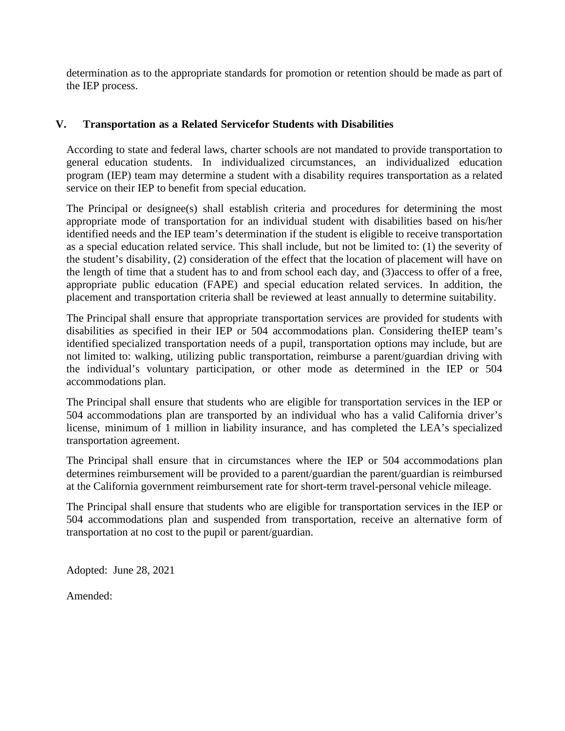determination as to the appropriate standards for promotion or retention should be made as part of the IEP process.

#### **V. Transportation as a Related Servicefor Students with Disabilities**

According to state and federal laws, charter schools are not mandated to provide transportation to general education students. In individualized circumstances, an individualized education program (IEP) team may determine a student with a disability requires transportation as a related service on their IEP to benefit from special education.

The Principal or designee(s) shall establish criteria and procedures for determining the most appropriate mode of transportation for an individual student with disabilities based on his/her identified needs and the IEP team's determination if the student is eligible to receive transportation as a special education related service. This shall include, but not be limited to: (1) the severity of the student's disability, (2) consideration of the effect that the location of placement will have on the length of time that a student has to and from school each day, and (3)access to offer of a free, appropriate public education (FAPE) and special education related services. In addition, the placement and transportation criteria shall be reviewed at least annually to determine suitability.

The Principal shall ensure that appropriate transportation services are provided for students with disabilities as specified in their IEP or 504 accommodations plan. Considering theIEP team's identified specialized transportation needs of a pupil, transportation options may include, but are not limited to: walking, utilizing public transportation, reimburse a parent/guardian driving with the individual's voluntary participation, or other mode as determined in the IEP or 504 accommodations plan.

The Principal shall ensure that students who are eligible for transportation services in the IEP or 504 accommodations plan are transported by an individual who has a valid California driver's license, minimum of 1 million in liability insurance, and has completed the LEA's specialized transportation agreement.

The Principal shall ensure that in circumstances where the IEP or 504 accommodations plan determines reimbursement will be provided to a parent/guardian the parent/guardian is reimbursed at the California government reimbursement rate for short-term travel-personal vehicle mileage.

The Principal shall ensure that students who are eligible for transportation services in the IEP or 504 accommodations plan and suspended from transportation, receive an alternative form of transportation at no cost to the pupil or parent/guardian.

Adopted: June 28, 2021

Amended: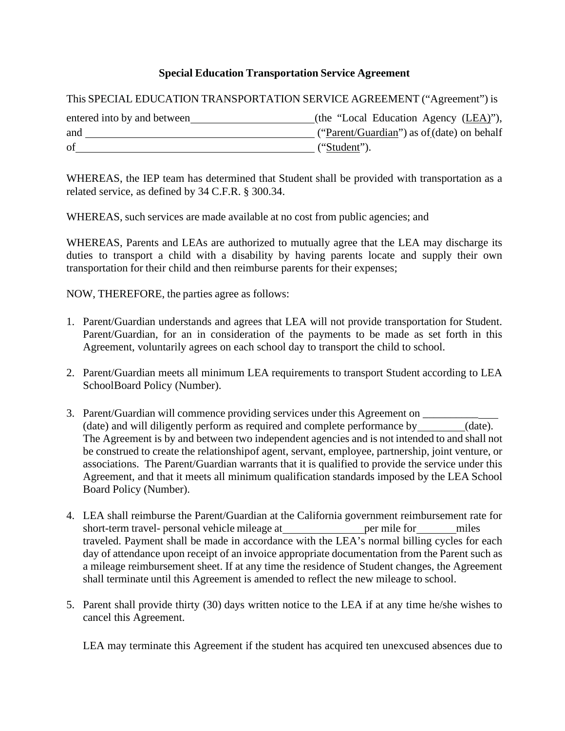# **Special Education Transportation Service Agreement**

This SPECIAL EDUCATION TRANSPORTATION SERVICE AGREEMENT ("Agreement") is

| entered into by and between | (the "Local Education Agency $(\underline{LEA})$ "), |
|-----------------------------|------------------------------------------------------|
| and                         | ("Parent/Guardian") as of (date) on behalf           |
| of                          | ("Student").                                         |

WHEREAS, the IEP team has determined that Student shall be provided with transportation as a related service, as defined by 34 C.F.R. § 300.34.

WHEREAS, such services are made available at no cost from public agencies; and

WHEREAS, Parents and LEAs are authorized to mutually agree that the LEA may discharge its duties to transport a child with a disability by having parents locate and supply their own transportation for their child and then reimburse parents for their expenses;

NOW, THEREFORE, the parties agree as follows:

- 1. Parent/Guardian understands and agrees that LEA will not provide transportation for Student. Parent/Guardian, for an in consideration of the payments to be made as set forth in this Agreement, voluntarily agrees on each school day to transport the child to school.
- 2. Parent/Guardian meets all minimum LEA requirements to transport Student according to LEA SchoolBoard Policy (Number).
- 3. Parent/Guardian will commence providing services under this Agreement on (date) and will diligently perform as required and complete performance by (date). The Agreement is by and between two independent agencies and is not intended to and shall not be construed to create the relationshipof agent, servant, employee, partnership, joint venture, or associations. The Parent/Guardian warrants that it is qualified to provide the service under this Agreement, and that it meets all minimum qualification standards imposed by the LEA School Board Policy (Number).
- 4. LEA shall reimburse the Parent/Guardian at the California government reimbursement rate for short-term travel- personal vehicle mileage at per mile for miles traveled. Payment shall be made in accordance with the LEA's normal billing cycles for each day of attendance upon receipt of an invoice appropriate documentation from the Parent such as a mileage reimbursement sheet. If at any time the residence of Student changes, the Agreement shall terminate until this Agreement is amended to reflect the new mileage to school.
- 5. Parent shall provide thirty (30) days written notice to the LEA if at any time he/she wishes to cancel this Agreement.

LEA may terminate this Agreement if the student has acquired ten unexcused absences due to